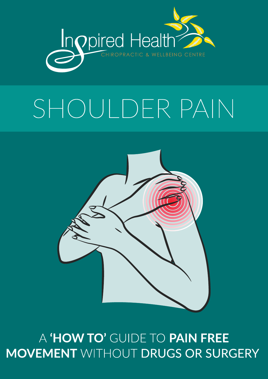

# SHOULDER PAIN



## A 'HOW TO' GUIDE TO PAIN FREE **MOVEMENT WITHOUT DRUGS OR SURGERY**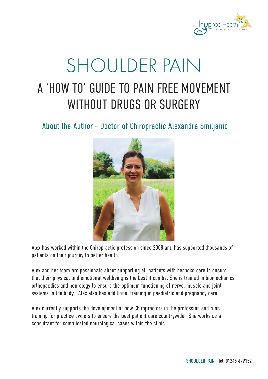

# A 'HOW TO' GUIDE TO PAIN FREE MOVEMENT WITHOUT DRUGS OR SURGERY SHOULDER PAIN

About the Author - Doctor of Chiropractic Alexandra Smiljanic



Alex has worked within the Chiropractic profession since 2008 and has supported thousands of patients on their journey to better health.

Alex and her team are passionate about supporting all patients with bespoke care to ensure that their physical and emotional wellbeing is the best it can be. She is trained in biomechanics, orthopaedics and neurology to ensure the optimum functioning of nerve, muscle and joint systems in the body. Alex also has additional training in paediatric and pregnancy care.

Alex currently supports the development of new Chiropractors in the profession and runs training for practice owners to ensure the best patient care countrywide. She works as a consultant for complicated neurological cases within the clinic.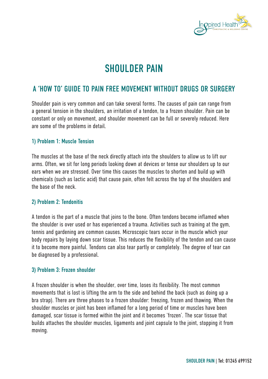

### SHOULDER PAIN

#### A 'HOW TO' GUIDE TO PAIN FREE MOVEMENT WITHOUT DRUGS OR SURGERY

Shoulder pain is very common and can take several forms. The causes of pain can range from a general tension in the shoulders, an irritation of a tendon, to a frozen shoulder. Pain can be constant or only on movement, and shoulder movement can be full or severely reduced. Here are some of the problems in detail.

#### 1) Problem 1: Muscle Tension

The muscles at the base of the neck directly attach into the shoulders to allow us to lift our arms. Often, we sit for long periods looking down at devices or tense our shoulders up to our ears when we are stressed. Over time this causes the muscles to shorten and build up with chemicals (such as lactic acid) that cause pain, often felt across the top of the shoulders and the base of the neck.

#### 2) Problem 2: Tendonitis

A tendon is the part of a muscle that joins to the bone. Often tendons become inflamed when the shoulder is over used or has experienced a trauma. Activities such as training at the gym, tennis and gardening are common causes. Microscopic tears occur in the muscle which your body repairs by laying down scar tissue. This reduces the flexibility of the tendon and can cause it to become more painful. Tendons can also tear partly or completely. The degree of tear can be diagnosed by a professional.

#### 3) Problem 3: Frozen shoulder

A frozen shoulder is when the shoulder, over time, loses its flexibility. The most common movements that is lost is lifting the arm to the side and behind the back (such as doing up a bra strap). There are three phases to a frozen shoulder: freezing, frozen and thawing. When the shoulder muscles or joint has been inflamed for a long period of time or muscles have been damaged, scar tissue is formed within the joint and it becomes 'frozen'. The scar tissue that builds attaches the shoulder muscles, ligaments and joint capsule to the joint, stopping it from moving.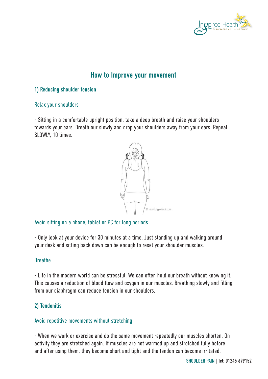

#### How to Improve your movement

#### 1) Reducing shoulder tension

#### Relax your shoulders

- Sitting in a comfortable upright position, take a deep breath and raise your shoulders towards your ears. Breath our slowly and drop your shoulders away from your ears. Repeat SLOWLY, 10 times.



#### Avoid sitting on a phone, tablet or PC for long periods

- Only look at your device for 30 minutes at a time. Just standing up and walking around your desk and sitting back down can be enough to reset your shoulder muscles.

#### Breathe

- Life in the modern world can be stressful. We can often hold our breath without knowing it. This causes a reduction of blood flow and oxygen in our muscles. Breathing slowly and filling from our diaphragm can reduce tension in our shoulders.

#### 2) Tendonitis

#### Avoid repetitive movements without stretching

- When we work or exercise and do the same movement repeatedly our muscles shorten. On activity they are stretched again. If muscles are not warmed up and stretched fully before and after using them, they become short and tight and the tendon can become irritated.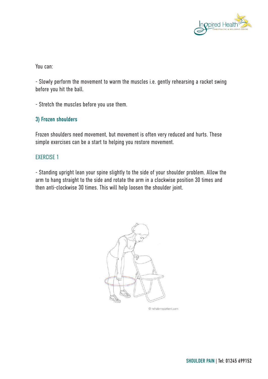

You can:

- Slowly perform the movement to warm the muscles i.e. gently rehearsing a racket swing before you hit the ball.

- Stretch the muscles before you use them.

#### 3) Frozen shoulders

Frozen shoulders need movement, but movement is often very reduced and hurts. These simple exercises can be a start to helping you restore movement.

#### EXERCISE 1

- Standing upright lean your spine slightly to the side of your shoulder problem. Allow the arm to hang straight to the side and rotate the arm in a clockwise position 30 times and then anti-clockwise 30 times. This will help loosen the shoulder joint.



© rehabmypatient.com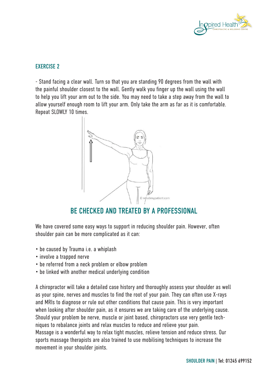

#### EXERCISE 2

- Stand facing a clear wall. Turn so that you are standing 90 degrees from the wall with the painful shoulder closest to the wall. Gently walk you finger up the wall using the wall to help you lift your arm out to the side. You may need to take a step away from the wall to allow yourself enough room to lift your arm. Only take the arm as far as it is comfortable. Repeat SLOWLY 10 times.



#### BE CHECKED AND TREATED BY A PROFESSIONAL

We have covered some easy ways to support in reducing shoulder pain. However, often shoulder pain can be more complicated as it can:

- be caused by Trauma i.e. a whiplash
- involve a trapped nerve
- be referred from a neck problem or elbow problem
- be linked with another medical underlying condition

A chiropractor will take a detailed case history and thoroughly assess your shoulder as well as your spine, nerves and muscles to find the root of your pain. They can often use X-rays and MRIs to diagnose or rule out other conditions that cause pain. This is very important when looking after shoulder pain, as it ensures we are taking care of the underlying cause. Should your problem be nerve, muscle or joint based, chiropractors use very gentle techniques to rebalance joints and relax muscles to reduce and relieve your pain. Massage is a wonderful way to relax tight muscles, relieve tension and reduce stress. Our sports massage therapists are also trained to use mobilising techniques to increase the movement in your shoulder joints.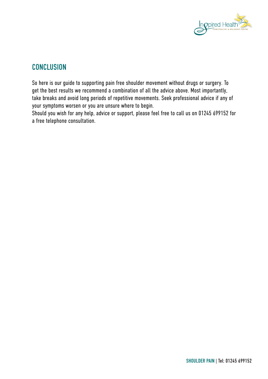

#### **CONCLUSION**

So here is our guide to supporting pain free shoulder movement without drugs or surgery. To get the best results we recommend a combination of all the advice above. Most importantly, take breaks and avoid long periods of repetitive movements. Seek professional advice if any of your symptoms worsen or you are unsure where to begin.

Should you wish for any help, advice or support, please feel free to call us on 01245 699152 for a free telephone consultation.